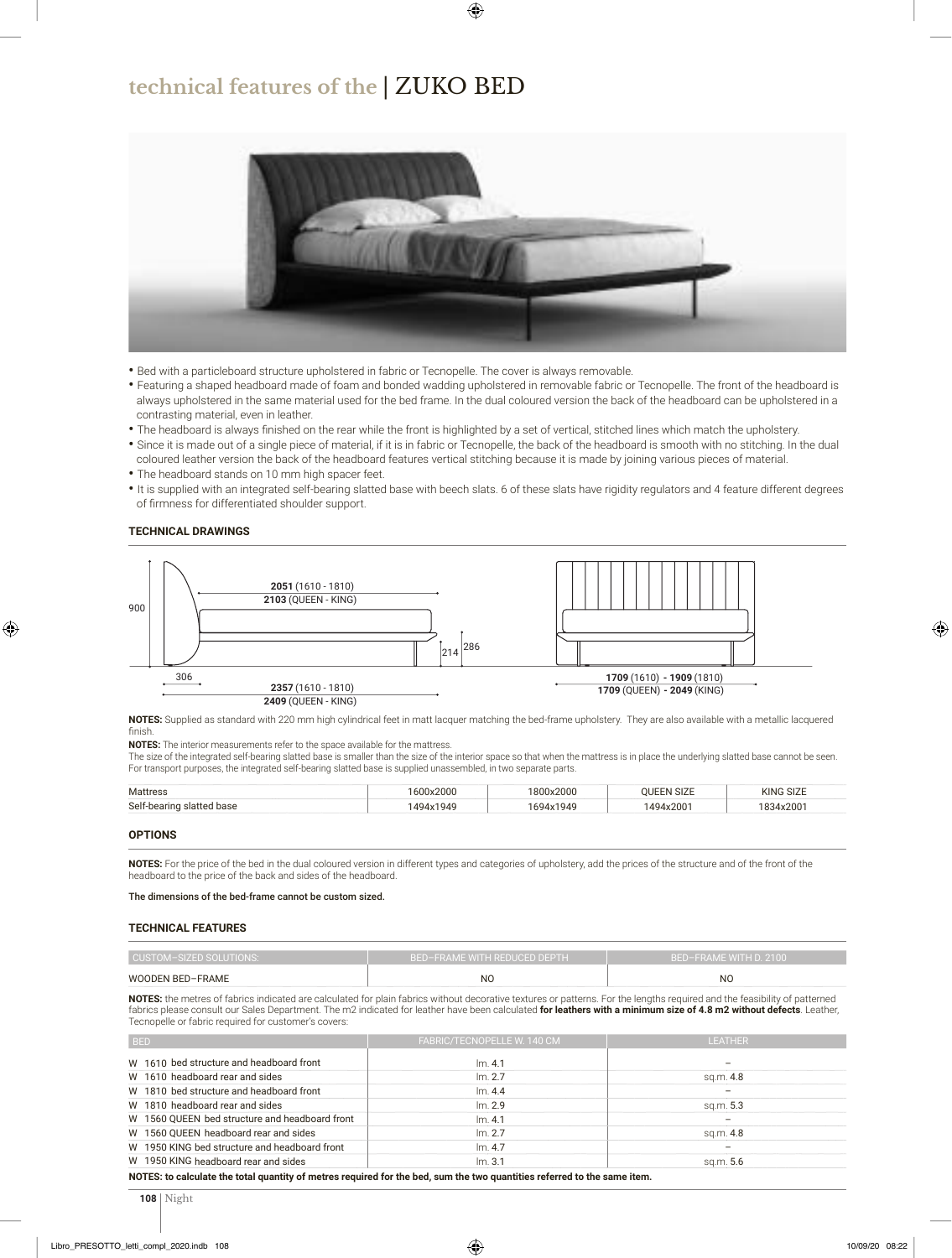## **technical features of the** | ZUKO BED



- Bed with a particleboard structure upholstered in fabric or Tecnopelle. The cover is always removable.
- Featuring a shaped headboard made of foam and bonded wadding upholstered in removable fabric or Tecnopelle. The front of the headboard is always upholstered in the same material used for the bed frame. In the dual coloured version the back of the headboard can be upholstered in a contrasting material, even in leather.
- The headboard is always finished on the rear while the front is highlighted by a set of vertical, stitched lines which match the upholstery.
- Since it is made out of a single piece of material, if it is in fabric or Tecnopelle, the back of the headboard is smooth with no stitching. In the dual coloured leather version the back of the headboard features vertical stitching because it is made by joining various pieces of material.
- The headboard stands on 10 mm high spacer feet.
- It is supplied with an integrated self-bearing slatted base with beech slats. 6 of these slats have rigidity regulators and 4 feature different degrees of firmness for differentiated shoulder support.

### **TECHNICAL DRAWINGS**



**NOTES:** Supplied as standard with 220 mm high cylindrical feet in matt lacquer matching the bed-frame upholstery. They are also available with a metallic lacquered finish.

**NOTES:** The interior measurements refer to the space available for the mattress.

The size of the integrated self-bearing slatted base is smaller than the size of the interior space so that when the mattress is in place the underlying slatted base cannot be seen. For transport purposes, the integrated self-bearing slatted base is supplied unassembled, in two separate parts.

| Mattress                  | 1600x2000 | 1800x2000 | OUEEN SIZE | <b>KING SIZE</b> |  |
|---------------------------|-----------|-----------|------------|------------------|--|
| Self-bearing slatted base | 1494x1949 | 1694x1949 | 1494x2001  | 1834x2001        |  |

**OPTIONS**

**NOTES:** For the price of the bed in the dual coloured version in different types and categories of upholstery, add the prices of the structure and of the front of the headboard to the price of the back and sides of the headboard.

The dimensions of the bed-frame cannot be custom sized.

#### **TECHNICAL FEATURES**

| CUSTOM-SIZED SOLUTIONS: | BED-FRAME WITH REDUCED DEPTH | BED-FRAME WITH D. 2100 |  |  |  |  |
|-------------------------|------------------------------|------------------------|--|--|--|--|
| <b>WOODEN BED-FRAME</b> | NC                           | <b>NC</b>              |  |  |  |  |

**NOTES:** the metres of fabrics indicated are calculated for plain fabrics without decorative textures or patterns. For the lengths required and the feasibility of patterned fabrics please consult our Sales Department. The m2 indicated for leather have been calculated **for leathers with a minimum size of 4.8 m2 without defects**. Leather, Tecnopelle or fabric required for customer's covers:

| <b>BED</b>                                                                                                                                                                                                                                                                                                                                                                                                                   | FABRIC/TECNOPELLE W. 140 CM                                                                                                                                                                                                           | <b>LEATHER</b>           |  |  |  |
|------------------------------------------------------------------------------------------------------------------------------------------------------------------------------------------------------------------------------------------------------------------------------------------------------------------------------------------------------------------------------------------------------------------------------|---------------------------------------------------------------------------------------------------------------------------------------------------------------------------------------------------------------------------------------|--------------------------|--|--|--|
| W 1610 bed structure and headboard front                                                                                                                                                                                                                                                                                                                                                                                     | Im.4.1                                                                                                                                                                                                                                | $\overline{\phantom{0}}$ |  |  |  |
| W 1610 headboard rear and sides                                                                                                                                                                                                                                                                                                                                                                                              | Im. 2.7                                                                                                                                                                                                                               | sq.m. 4.8                |  |  |  |
| W 1810 bed structure and headboard front                                                                                                                                                                                                                                                                                                                                                                                     | Im.4.4                                                                                                                                                                                                                                |                          |  |  |  |
| W 1810 headboard rear and sides                                                                                                                                                                                                                                                                                                                                                                                              | $\mathsf{Im}$ 2.9                                                                                                                                                                                                                     | sq.m. 5.3                |  |  |  |
| W 1560 QUEEN bed structure and headboard front                                                                                                                                                                                                                                                                                                                                                                               | Im.4.1                                                                                                                                                                                                                                |                          |  |  |  |
| W 1560 QUEEN headboard rear and sides                                                                                                                                                                                                                                                                                                                                                                                        | $\mathsf{Im} 2.7$                                                                                                                                                                                                                     | sq.m. 4.8                |  |  |  |
| W 1950 KING bed structure and headboard front                                                                                                                                                                                                                                                                                                                                                                                | Im.4.7                                                                                                                                                                                                                                | $\overline{\phantom{m}}$ |  |  |  |
| W 1950 KING headboard rear and sides                                                                                                                                                                                                                                                                                                                                                                                         | Im. 3.1                                                                                                                                                                                                                               | sq.m. 5.6                |  |  |  |
| $\mathbf{A} = \mathbf{A} + \mathbf{A} + \mathbf{A} + \mathbf{A} + \mathbf{A} + \mathbf{A} + \mathbf{A} + \mathbf{A} + \mathbf{A} + \mathbf{A} + \mathbf{A} + \mathbf{A} + \mathbf{A} + \mathbf{A} + \mathbf{A} + \mathbf{A} + \mathbf{A} + \mathbf{A} + \mathbf{A} + \mathbf{A} + \mathbf{A} + \mathbf{A} + \mathbf{A} + \mathbf{A} + \mathbf{A} + \mathbf{A} + \mathbf{A} + \mathbf{A} + \mathbf{A} + \mathbf{A} + \mathbf$ | $\mathbf{r}$ , and $\mathbf{r}$ are assumed to the contract of the contract of the contract of the contract of the contract of the contract of the contract of the contract of the contract of the contract of the contract of the co |                          |  |  |  |

**NOTES: to calculate the total quantity of metres required for the bed, sum the two quantities referred to the same item.**